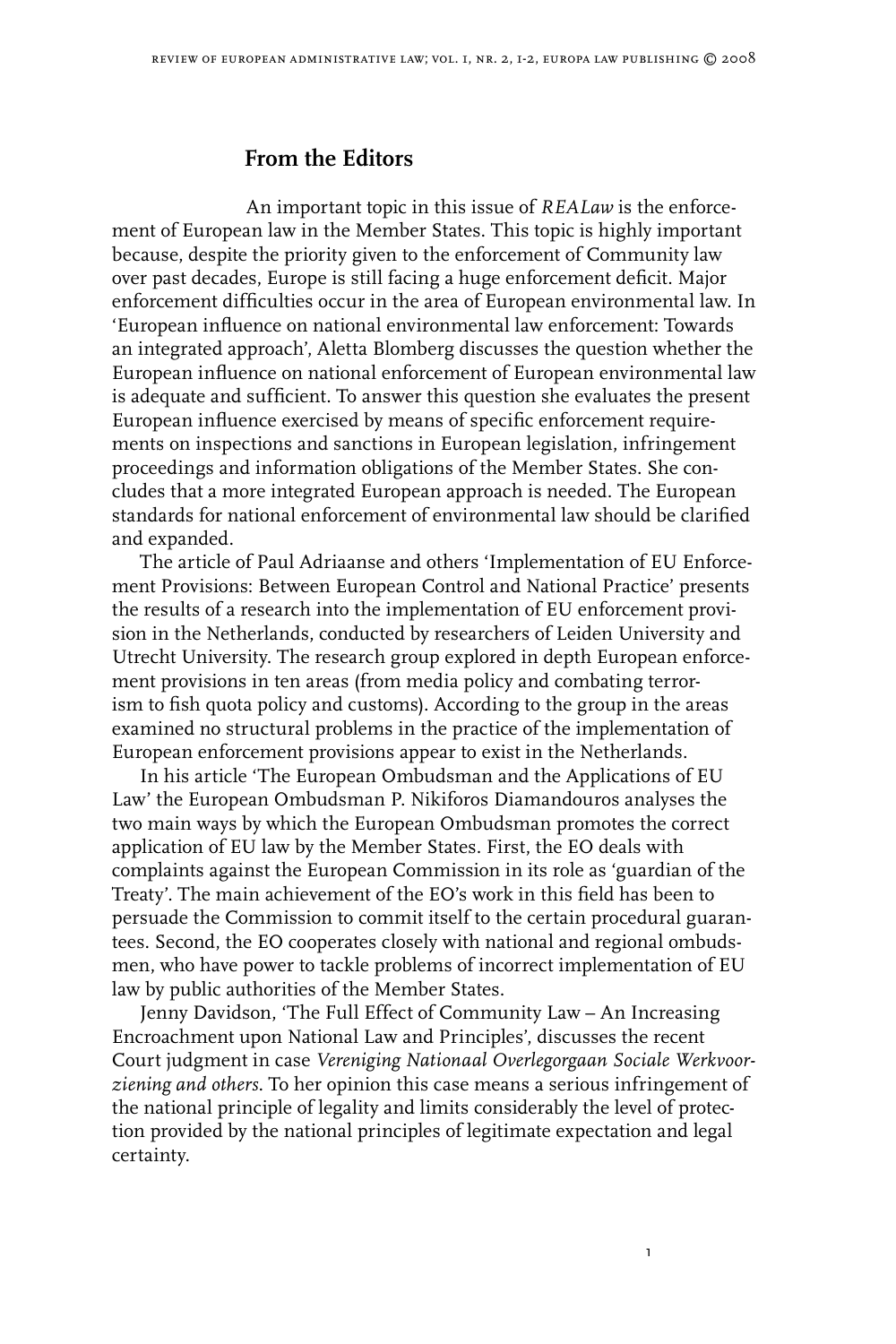## **From the Editors**

An important topic in this issue of *REALaw* is the enforcement of European law in the Member States. This topic is highly important because, despite the priority given to the enforcement of Community law over past decades, Europe is still facing a huge enforcement deficit. Major enforcement difficulties occur in the area of European environmental law. In 'European influence on national environmental law enforcement: Towards an integrated approach', Aletta Blomberg discusses the question whether the European influence on national enforcement of European environmental law is adequate and sufficient. To answer this question she evaluates the present European influence exercised by means of specific enforcement requirements on inspections and sanctions in European legislation, infringement proceedings and information obligations of the Member States. She concludes that a more integrated European approach is needed. The European standards for national enforcement of environmental law should be clarified and expanded.

The article of Paul Adriaanse and others 'Implementation of EU Enforcement Provisions: Between European Control and National Practice' presents the results of a research into the implementation of EU enforcement provision in the Netherlands, conducted by researchers of Leiden University and Utrecht University. The research group explored in depth European enforcement provisions in ten areas (from media policy and combating terrorism to fish quota policy and customs). According to the group in the areas examined no structural problems in the practice of the implementation of European enforcement provisions appear to exist in the Netherlands.

In his article 'The European Ombudsman and the Applications of EU Law' the European Ombudsman P. Nikiforos Diamandouros analyses the two main ways by which the European Ombudsman promotes the correct application of EU law by the Member States. First, the EO deals with complaints against the European Commission in its role as 'guardian of the Treaty'. The main achievement of the EO's work in this field has been to persuade the Commission to commit itself to the certain procedural guarantees. Second, the EO cooperates closely with national and regional ombudsmen, who have power to tackle problems of incorrect implementation of EU law by public authorities of the Member States.

Jenny Davidson, 'The Full Effect of Community Law – An Increasing Encroachment upon National Law and Principles', discusses the recent Court judgment in case *Vereniging Nationaal Overlegorgaan Sociale Werkvoorziening and others*. To her opinion this case means a serious infringement of the national principle of legality and limits considerably the level of protection provided by the national principles of legitimate expectation and legal certainty.

ı